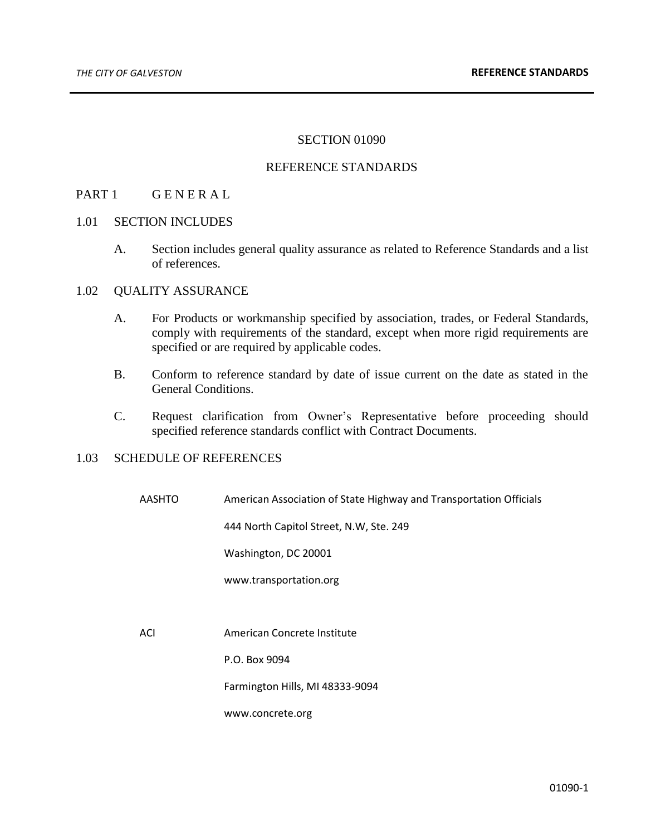# SECTION 01090

## REFERENCE STANDARDS

# PART 1 GENERAL

#### 1.01 SECTION INCLUDES

A. Section includes general quality assurance as related to Reference Standards and a list of references.

# 1.02 QUALITY ASSURANCE

- A. For Products or workmanship specified by association, trades, or Federal Standards, comply with requirements of the standard, except when more rigid requirements are specified or are required by applicable codes.
- B. Conform to reference standard by date of issue current on the date as stated in the General Conditions.
- C. Request clarification from Owner's Representative before proceeding should specified reference standards conflict with Contract Documents.

#### 1.03 SCHEDULE OF REFERENCES

AASHTO American Association of State Highway and Transportation Officials

444 North Capitol Street, N.W, Ste. 249

Washington, DC 20001

www.transportation.org

ACI American Concrete Institute

P.O. Box 9094

Farmington Hills, MI 48333-9094

www.concrete.org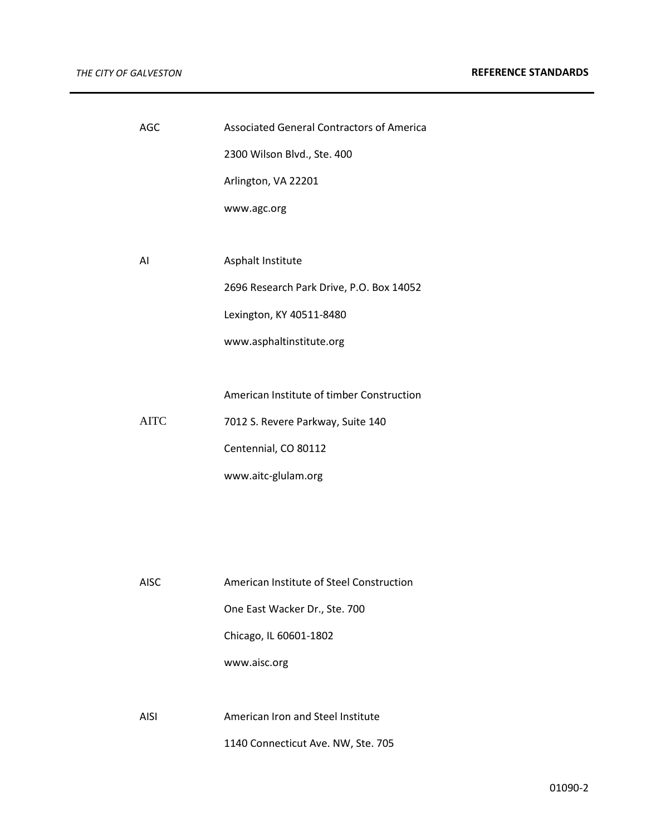| AGC         | <b>Associated General Contractors of America</b> |
|-------------|--------------------------------------------------|
|             | 2300 Wilson Blvd., Ste. 400                      |
|             | Arlington, VA 22201                              |
|             | www.agc.org                                      |
|             |                                                  |
| AI          | Asphalt Institute                                |
|             | 2696 Research Park Drive, P.O. Box 14052         |
|             | Lexington, KY 40511-8480                         |
|             | www.asphaltinstitute.org                         |
|             |                                                  |
|             | American Institute of timber Construction        |
| <b>AITC</b> | 7012 S. Revere Parkway, Suite 140                |
|             | Centennial, CO 80112                             |
|             | www.aitc-glulam.org                              |
|             |                                                  |
|             |                                                  |
|             |                                                  |
| <b>AISC</b> | American Institute of Steel Construction         |
|             | One East Wacker Dr., Ste. 700                    |
|             | Chicago, IL 60601-1802                           |
|             | www.aisc.org                                     |
|             |                                                  |
| <b>AISI</b> | American Iron and Steel Institute                |
|             | 1140 Connecticut Ave. NW, Ste. 705               |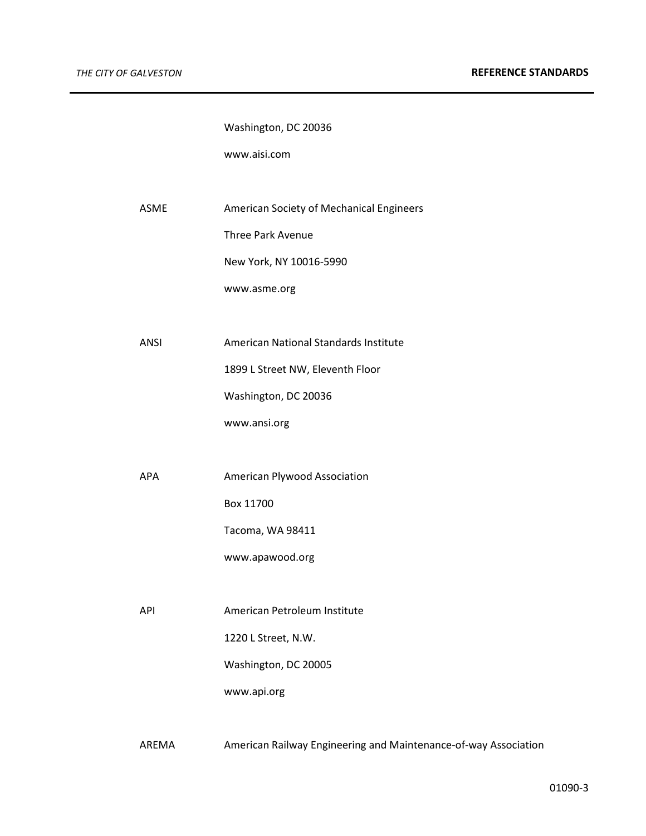Washington, DC 20036

www.aisi.com

ASME American Society of Mechanical Engineers

Three Park Avenue

New York, NY 10016-5990

www.asme.org

ANSI American National Standards Institute

1899 L Street NW, Eleventh Floor

Washington, DC 20036

www.ansi.org

APA American Plywood Association

Box 11700

Tacoma, WA 98411

www.apawood.org

API American Petroleum Institute

1220 L Street, N.W.

Washington, DC 20005

www.api.org

AREMA American Railway Engineering and Maintenance-of-way Association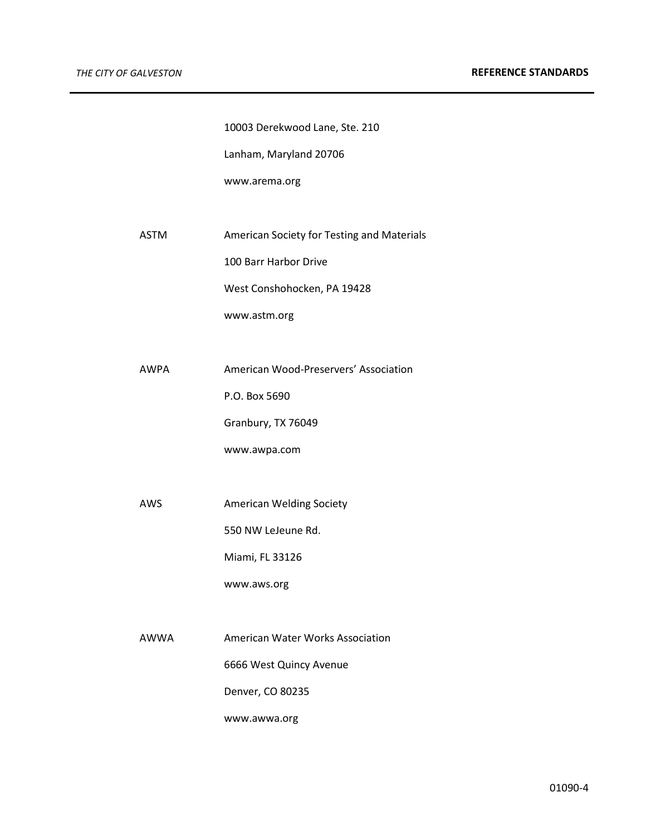10003 Derekwood Lane, Ste. 210

Lanham, Maryland 20706

www.arema.org

ASTM American Society for Testing and Materials

100 Barr Harbor Drive

West Conshohocken, PA 19428

www.astm.org

AWPA American Wood-Preservers' Association

P.O. Box 5690

Granbury, TX 76049

www.awpa.com

AWS American Welding Society

550 NW LeJeune Rd.

Miami, FL 33126

www.aws.org

AWWA American Water Works Association 6666 West Quincy Avenue Denver, CO 80235

www.awwa.org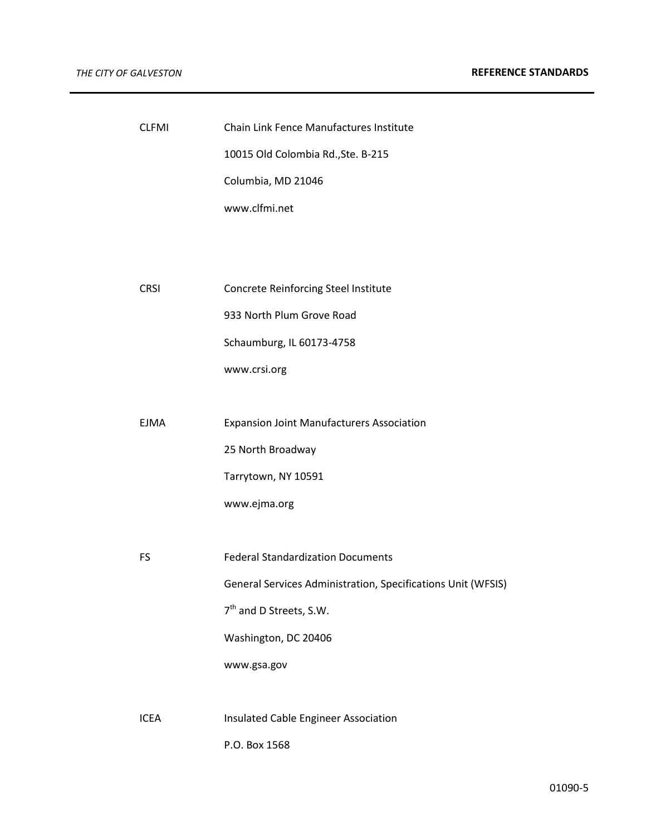| <b>CLFMI</b> | Chain Link Fence Manufactures Institute                      |
|--------------|--------------------------------------------------------------|
|              | 10015 Old Colombia Rd., Ste. B-215                           |
|              | Columbia, MD 21046                                           |
|              | www.clfmi.net                                                |
|              |                                                              |
|              |                                                              |
| <b>CRSI</b>  | Concrete Reinforcing Steel Institute                         |
|              | 933 North Plum Grove Road                                    |
|              | Schaumburg, IL 60173-4758                                    |
|              | www.crsi.org                                                 |
|              |                                                              |
| <b>EJMA</b>  | <b>Expansion Joint Manufacturers Association</b>             |
|              | 25 North Broadway                                            |
|              | Tarrytown, NY 10591                                          |
|              | www.ejma.org                                                 |
|              |                                                              |
| FS           | <b>Federal Standardization Documents</b>                     |
|              | General Services Administration, Specifications Unit (WFSIS) |
|              | 7 <sup>th</sup> and D Streets, S.W.                          |
|              | Washington, DC 20406                                         |
|              | www.gsa.gov                                                  |
|              |                                                              |
| <b>ICEA</b>  | Insulated Cable Engineer Association                         |
|              | P.O. Box 1568                                                |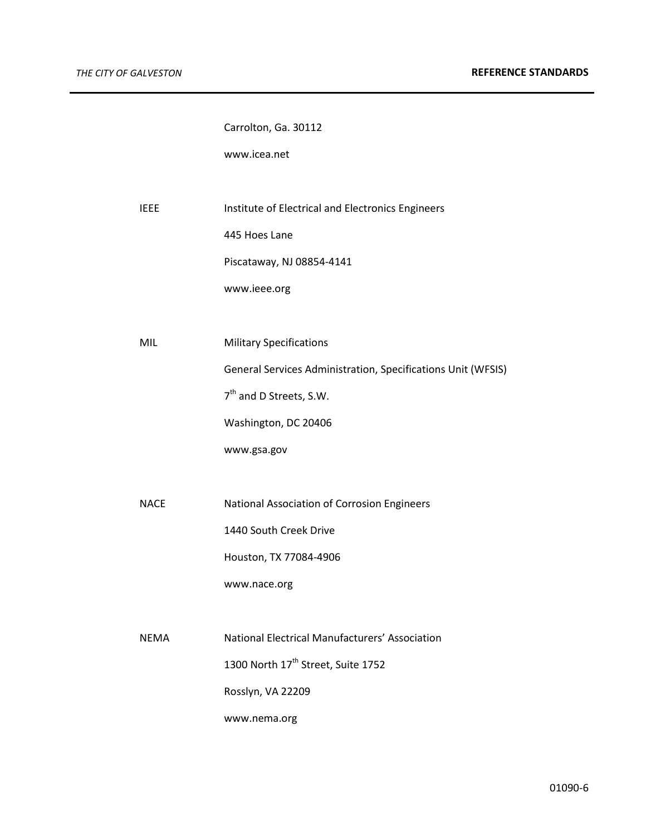Carrolton, Ga. 30112

www.icea.net

IEEE Institute of Electrical and Electronics Engineers

445 Hoes Lane

Piscataway, NJ 08854-4141

www.ieee.org

MIL Military Specifications

General Services Administration, Specifications Unit (WFSIS)

7<sup>th</sup> and D Streets, S.W.

Washington, DC 20406

www.gsa.gov

NACE National Association of Corrosion Engineers 1440 South Creek Drive Houston, TX 77084-4906

www.nace.org

NEMA National Electrical Manufacturers' Association 1300 North 17<sup>th</sup> Street, Suite 1752 Rosslyn, VA 22209 www.nema.org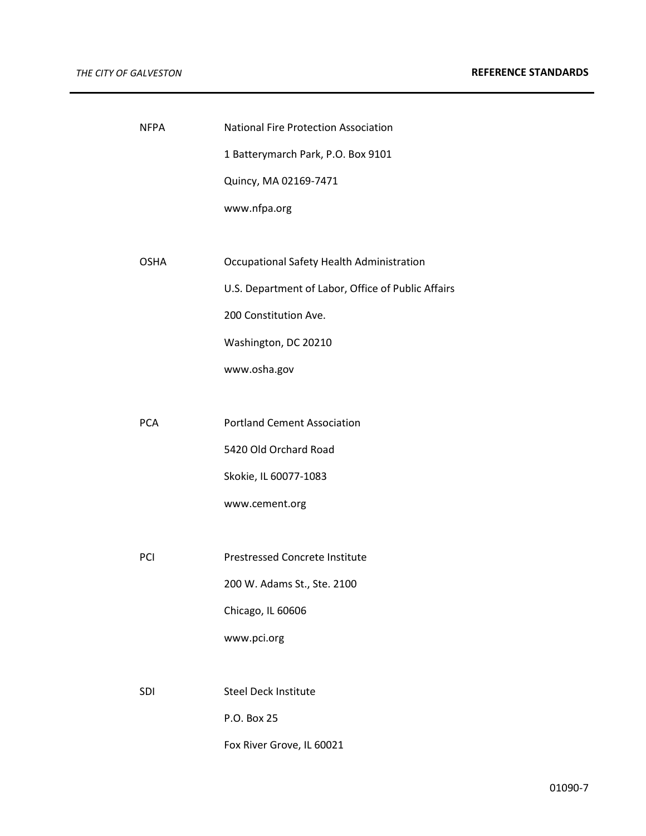| <b>NFPA</b> | <b>National Fire Protection Association</b>        |
|-------------|----------------------------------------------------|
|             | 1 Batterymarch Park, P.O. Box 9101                 |
|             | Quincy, MA 02169-7471                              |
|             | www.nfpa.org                                       |
|             |                                                    |
| <b>OSHA</b> | Occupational Safety Health Administration          |
|             | U.S. Department of Labor, Office of Public Affairs |
|             | 200 Constitution Ave.                              |
|             | Washington, DC 20210                               |
|             | www.osha.gov                                       |
|             |                                                    |
| <b>PCA</b>  | <b>Portland Cement Association</b>                 |
|             | 5420 Old Orchard Road                              |
|             | Skokie, IL 60077-1083                              |
|             | www.cement.org                                     |
|             |                                                    |
| PCI         | <b>Prestressed Concrete Institute</b>              |
|             | 200 W. Adams St., Ste. 2100                        |
|             | Chicago, IL 60606                                  |
|             | www.pci.org                                        |
|             |                                                    |
| <b>SDI</b>  | <b>Steel Deck Institute</b>                        |
|             | P.O. Box 25                                        |
|             | Fox River Grove, IL 60021                          |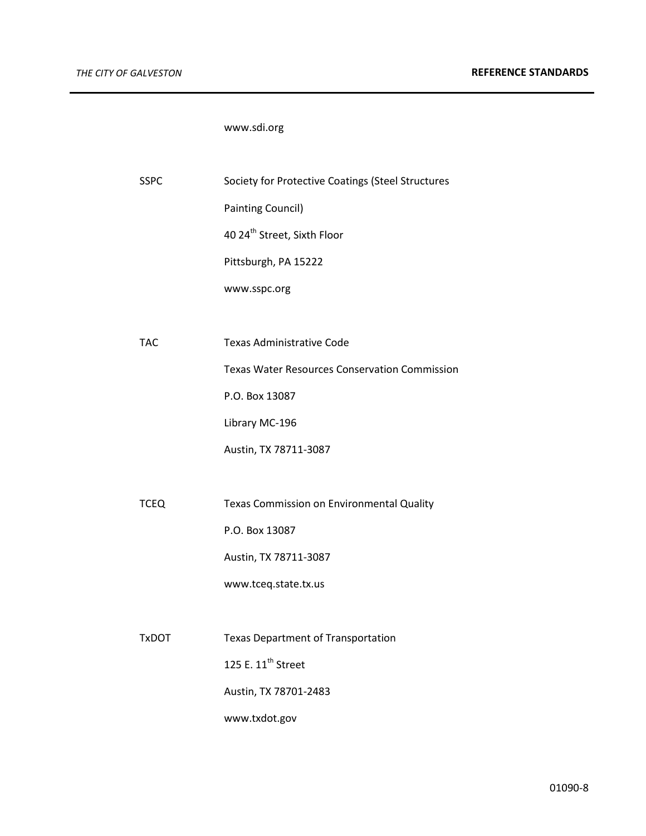# www.sdi.org

| <b>SSPC</b>  | Society for Protective Coatings (Steel Structures    |
|--------------|------------------------------------------------------|
|              | <b>Painting Council)</b>                             |
|              | 40 24 <sup>th</sup> Street, Sixth Floor              |
|              | Pittsburgh, PA 15222                                 |
|              | www.sspc.org                                         |
|              |                                                      |
| <b>TAC</b>   | <b>Texas Administrative Code</b>                     |
|              | <b>Texas Water Resources Conservation Commission</b> |
|              | P.O. Box 13087                                       |
|              | Library MC-196                                       |
|              | Austin, TX 78711-3087                                |
|              |                                                      |
| <b>TCEQ</b>  | Texas Commission on Environmental Quality            |
|              | P.O. Box 13087                                       |
|              | Austin, TX 78711-3087                                |
|              | www.tceq.state.tx.us                                 |
|              |                                                      |
| <b>TxDOT</b> | <b>Texas Department of Transportation</b>            |
|              | 125 E. 11 <sup>th</sup> Street                       |
|              | Austin, TX 78701-2483                                |
|              | www.txdot.gov                                        |